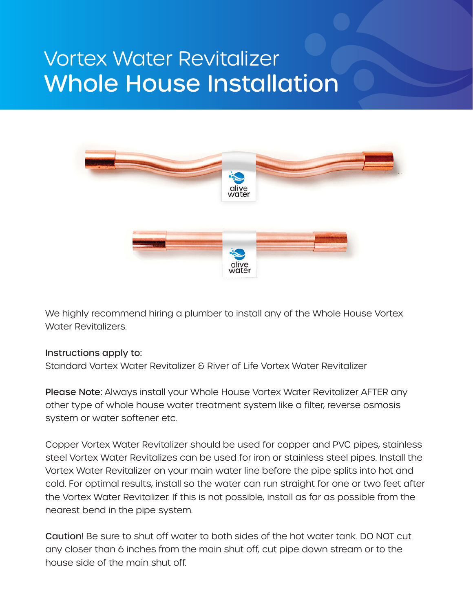# Vortex Water Revitalizer Whole House Installation



We highly recommend hiring a plumber to install any of the Whole House Vortex Water Revitalizers.

#### Instructions apply to:

Standard Vortex Water Revitalizer & River of Life Vortex Water Revitalizer

Please Note: Always install your Whole House Vortex Water Revitalizer AFTER any other type of whole house water treatment system like a filter, reverse osmosis system or water softener etc.

Copper Vortex Water Revitalizer should be used for copper and PVC pipes, stainless steel Vortex Water Revitalizes can be used for iron or stainless steel pipes. Install the Vortex Water Revitalizer on your main water line before the pipe splits into hot and cold. For optimal results, install so the water can run straight for one or two feet after the Vortex Water Revitalizer. If this is not possible, install as far as possible from the nearest bend in the pipe system.

Caution! Be sure to shut off water to both sides of the hot water tank. DO NOT cut any closer than 6 inches from the main shut off, cut pipe down stream or to the house side of the main shut off.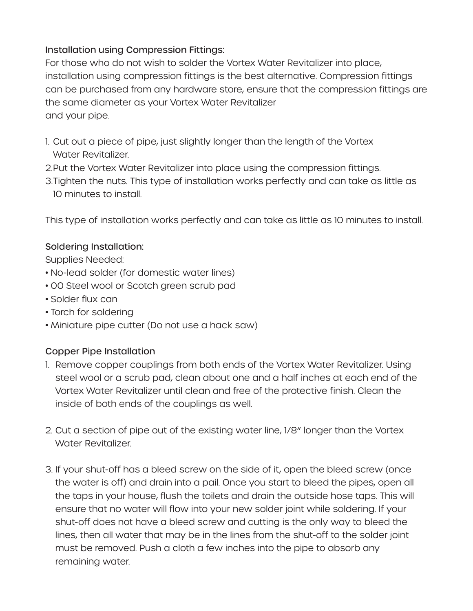### Installation using Compression Fittings:

For those who do not wish to solder the Vortex Water Revitalizer into place, installation using compression fittings is the best alternative. Compression fittings can be purchased from any hardware store, ensure that the compression fittings are the same diameter as your Vortex Water Revitalizer and your pipe.

- 1. Cut out a piece of pipe, just slightly longer than the length of the Vortex Water Revitalizer.
- 2.Put the Vortex Water Revitalizer into place using the compression fittings.
- 3.Tighten the nuts. This type of installation works perfectly and can take as little as 10 minutes to install.

This type of installation works perfectly and can take as little as 10 minutes to install.

## Soldering Installation:

Supplies Needed:

- No-lead solder (for domestic water lines)
- 00 Steel wool or Scotch green scrub pad
- Solder flux can
- Torch for soldering
- Miniature pipe cutter (Do not use a hack saw)

## Copper Pipe Installation

- 1. Remove copper couplings from both ends of the Vortex Water Revitalizer. Using steel wool or a scrub pad, clean about one and a half inches at each end of the Vortex Water Revitalizer until clean and free of the protective finish. Clean the inside of both ends of the couplings as well.
- 2. Cut a section of pipe out of the existing water line, 1/8" longer than the Vortex Water Revitalizer.
- 3. If your shut-off has a bleed screw on the side of it, open the bleed screw (once the water is off) and drain into a pail. Once you start to bleed the pipes, open all the taps in your house, flush the toilets and drain the outside hose taps. This will ensure that no water will flow into your new solder joint while soldering. If your shut-off does not have a bleed screw and cutting is the only way to bleed the lines, then all water that may be in the lines from the shut-off to the solder joint must be removed. Push a cloth a few inches into the pipe to absorb any remaining water.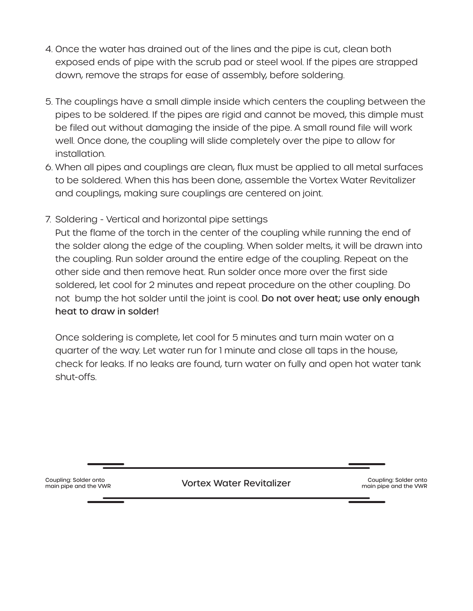- 4. Once the water has drained out of the lines and the pipe is cut, clean both exposed ends of pipe with the scrub pad or steel wool. If the pipes are strapped down, remove the straps for ease of assembly, before soldering.
- 5. The couplings have a small dimple inside which centers the coupling between the pipes to be soldered. If the pipes are rigid and cannot be moved, this dimple must be filed out without damaging the inside of the pipe. A small round file will work well. Once done, the coupling will slide completely over the pipe to allow for installation.
- 6. When all pipes and couplings are clean, flux must be applied to all metal surfaces to be soldered. When this has been done, assemble the Vortex Water Revitalizer and couplings, making sure couplings are centered on joint.
- 7. Soldering Vertical and horizontal pipe settings

Put the flame of the torch in the center of the coupling while running the end of the solder along the edge of the coupling. When solder melts, it will be drawn into the coupling. Run solder around the entire edge of the coupling. Repeat on the other side and then remove heat. Run solder once more over the first side soldered, let cool for 2 minutes and repeat procedure on the other coupling. Do not bump the hot solder until the joint is cool. Do not over heat; use only enough heat to draw in solder!

Once soldering is complete, let cool for 5 minutes and turn main water on a quarter of the way. Let water run for 1 minute and close all taps in the house, check for leaks. If no leaks are found, turn water on fully and open hot water tank shut-offs.

main pipe and the VWR

Coupling: Solder onto<br>main pipe and the VMD<br>Coupling: Solder onto

Coupling: Solder onto main pipe and the VWR